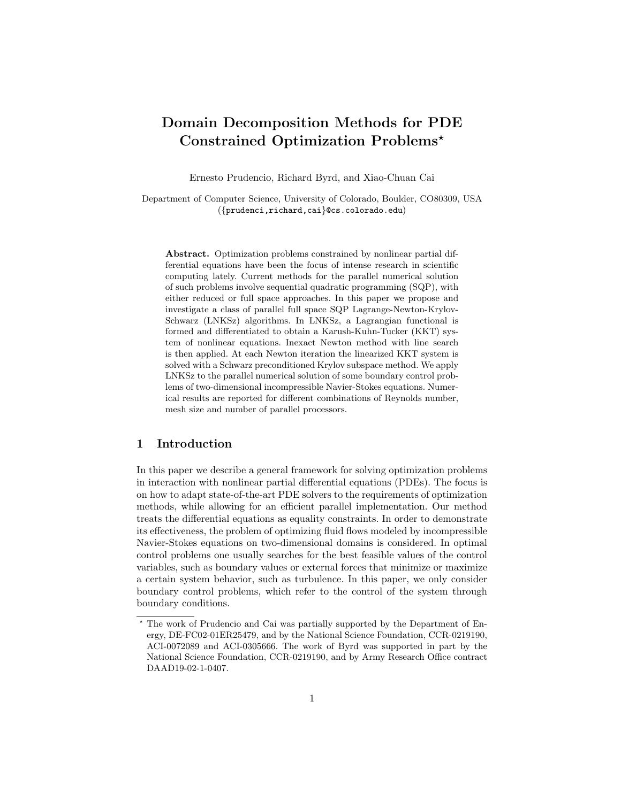# Domain Decomposition Methods for PDE Constrained Optimization Problems?

Ernesto Prudencio, Richard Byrd, and Xiao-Chuan Cai

Department of Computer Science, University of Colorado, Boulder, CO80309, USA ({prudenci,richard,cai}@cs.colorado.edu)

Abstract. Optimization problems constrained by nonlinear partial differential equations have been the focus of intense research in scientific computing lately. Current methods for the parallel numerical solution of such problems involve sequential quadratic programming (SQP), with either reduced or full space approaches. In this paper we propose and investigate a class of parallel full space SQP Lagrange-Newton-Krylov-Schwarz (LNKSz) algorithms. In LNKSz, a Lagrangian functional is formed and differentiated to obtain a Karush-Kuhn-Tucker (KKT) system of nonlinear equations. Inexact Newton method with line search is then applied. At each Newton iteration the linearized KKT system is solved with a Schwarz preconditioned Krylov subspace method. We apply LNKSz to the parallel numerical solution of some boundary control problems of two-dimensional incompressible Navier-Stokes equations. Numerical results are reported for different combinations of Reynolds number, mesh size and number of parallel processors.

# 1 Introduction

In this paper we describe a general framework for solving optimization problems in interaction with nonlinear partial differential equations (PDEs). The focus is on how to adapt state-of-the-art PDE solvers to the requirements of optimization methods, while allowing for an efficient parallel implementation. Our method treats the differential equations as equality constraints. In order to demonstrate its effectiveness, the problem of optimizing fluid flows modeled by incompressible Navier-Stokes equations on two-dimensional domains is considered. In optimal control problems one usually searches for the best feasible values of the control variables, such as boundary values or external forces that minimize or maximize a certain system behavior, such as turbulence. In this paper, we only consider boundary control problems, which refer to the control of the system through boundary conditions.

<sup>?</sup> The work of Prudencio and Cai was partially supported by the Department of Energy, DE-FC02-01ER25479, and by the National Science Foundation, CCR-0219190, ACI-0072089 and ACI-0305666. The work of Byrd was supported in part by the National Science Foundation, CCR-0219190, and by Army Research Office contract DAAD19-02-1-0407.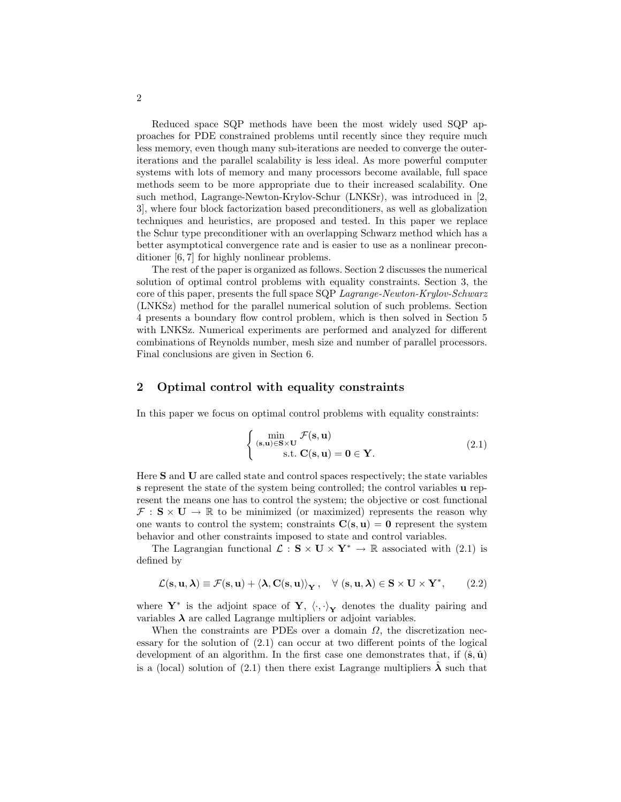Reduced space SQP methods have been the most widely used SQP approaches for PDE constrained problems until recently since they require much less memory, even though many sub-iterations are needed to converge the outeriterations and the parallel scalability is less ideal. As more powerful computer systems with lots of memory and many processors become available, full space methods seem to be more appropriate due to their increased scalability. One such method, Lagrange-Newton-Krylov-Schur (LNKSr), was introduced in [2, 3], where four block factorization based preconditioners, as well as globalization techniques and heuristics, are proposed and tested. In this paper we replace the Schur type preconditioner with an overlapping Schwarz method which has a better asymptotical convergence rate and is easier to use as a nonlinear preconditioner [6, 7] for highly nonlinear problems.

The rest of the paper is organized as follows. Section 2 discusses the numerical solution of optimal control problems with equality constraints. Section 3, the core of this paper, presents the full space SQP Lagrange-Newton-Krylov-Schwarz (LNKSz) method for the parallel numerical solution of such problems. Section 4 presents a boundary flow control problem, which is then solved in Section 5 with LNKSz. Numerical experiments are performed and analyzed for different combinations of Reynolds number, mesh size and number of parallel processors. Final conclusions are given in Section 6.

## 2 Optimal control with equality constraints

In this paper we focus on optimal control problems with equality constraints:

$$
\begin{cases}\n\min_{(\mathbf{s}, \mathbf{u}) \in \mathbf{S} \times \mathbf{U}} \mathcal{F}(\mathbf{s}, \mathbf{u}) \\
\text{s.t. } \mathbf{C}(\mathbf{s}, \mathbf{u}) = \mathbf{0} \in \mathbf{Y}.\n\end{cases}
$$
\n(2.1)

Here S and U are called state and control spaces respectively; the state variables s represent the state of the system being controlled; the control variables u represent the means one has to control the system; the objective or cost functional  $\mathcal{F}: \mathbf{S} \times \mathbf{U} \to \mathbb{R}$  to be minimized (or maximized) represents the reason why one wants to control the system; constraints  $C(s, u) = 0$  represent the system behavior and other constraints imposed to state and control variables.

The Lagrangian functional  $\mathcal{L} : \mathbf{S} \times \mathbf{U} \times \mathbf{Y}^* \to \mathbb{R}$  associated with (2.1) is defined by

$$
\mathcal{L}(\mathbf{s}, \mathbf{u}, \boldsymbol{\lambda}) \equiv \mathcal{F}(\mathbf{s}, \mathbf{u}) + \left\langle \boldsymbol{\lambda}, \mathbf{C}(\mathbf{s}, \mathbf{u}) \right\rangle_{\mathbf{Y}}, \quad \forall \ (\mathbf{s}, \mathbf{u}, \boldsymbol{\lambda}) \in \mathbf{S} \times \mathbf{U} \times \mathbf{Y}^*, \qquad (2.2)
$$

where  $\mathbf{Y}^*$  is the adjoint space of  $\mathbf{Y}, \langle \cdot, \cdot \rangle_{\mathbf{Y}}$  denotes the duality pairing and variables  $\lambda$  are called Lagrange multipliers or adjoint variables.

When the constraints are PDEs over a domain  $\Omega$ , the discretization necessary for the solution of (2.1) can occur at two different points of the logical development of an algorithm. In the first case one demonstrates that, if  $(\hat{\mathbf{s}}, \hat{\mathbf{u}})$ is a (local) solution of (2.1) then there exist Lagrange multipliers  $\hat{\lambda}$  such that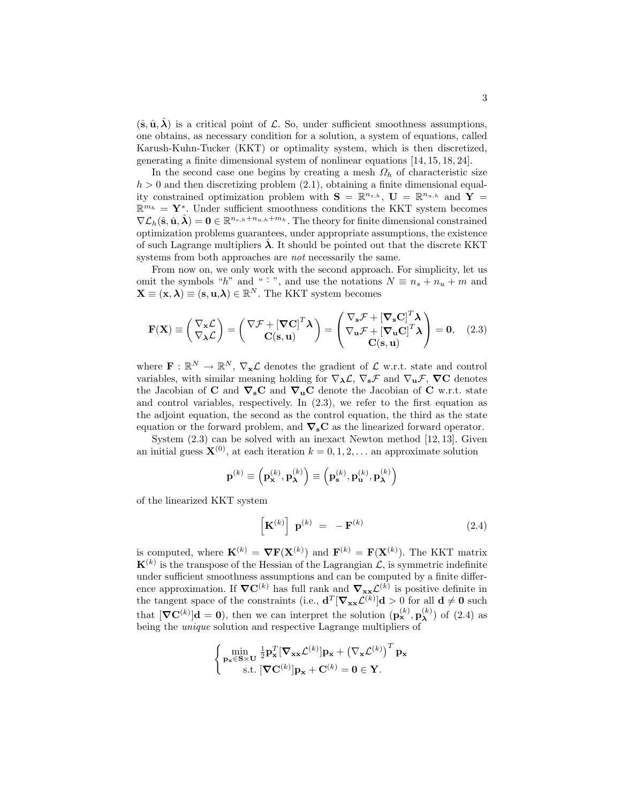$(\hat{\mathbf{s}}, \hat{\mathbf{u}}, \hat{\boldsymbol{\lambda}})$  is a critical point of L. So, under sufficient smoothness assumptions, one obtains, as necessary condition for a solution, a system of equations, called Karush-Kuhn-Tucker (KKT) or optimality system, which is then discretized, generating a finite dimensional system of nonlinear equations [14, 15, 18, 24].

In the second case one begins by creating a mesh  $\Omega_h$  of characteristic size  $h > 0$  and then discretizing problem  $(2.1)$ , obtaining a finite dimensional equality constrained optimization problem with  $S = \mathbb{R}^{n_{s,h}}$ ,  $U = \mathbb{R}^{n_{u,h}}$  and  $Y =$  $\mathbb{R}^{m_h} = \mathbf{Y}^*$ . Under sufficient smoothness conditions the KKT system becomes  $\nabla \mathcal{L}_h(\hat{\mathbf{s}}, \hat{\mathbf{u}}, \hat{\boldsymbol{\lambda}}) = \mathbf{0} \in \mathbb{R}^{n_{s,h}+n_{u,h}+m_h}$ . The theory for finite dimensional constrained optimization problems guarantees, under appropriate assumptions, the existence of such Lagrange multipliers  $\lambda$ . It should be pointed out that the discrete KKT systems from both approaches are *not* necessarily the same.

From now on, we only work with the second approach. For simplicity, let us omit the symbols "h" and "  $\hat{\cdot}$ ", and use the notations  $N \equiv n_s + n_u + m$  and  $\mathbf{X} \equiv (\mathbf{x}, \boldsymbol{\lambda}) \equiv (\mathbf{s}, \mathbf{u}, \boldsymbol{\lambda}) \in \mathbb{R}^N$ . The KKT system becomes

$$
\mathbf{F}(\mathbf{X}) \equiv \begin{pmatrix} \nabla_{\mathbf{x}} \mathcal{L} \\ \nabla_{\mathbf{\lambda}} \mathcal{L} \end{pmatrix} = \begin{pmatrix} \nabla \mathcal{F} + [\mathbf{\nabla} \mathbf{C}]^T \mathbf{\lambda} \\ \mathbf{C}(\mathbf{s}, \mathbf{u}) \end{pmatrix} = \begin{pmatrix} \nabla_{\mathbf{s}} \mathcal{F} + [\mathbf{\nabla}_{\mathbf{s}} \mathbf{C}]^T \mathbf{\lambda} \\ \nabla_{\mathbf{u}} \mathcal{F} + [\mathbf{\nabla}_{\mathbf{u}} \mathbf{C}]^T \mathbf{\lambda} \\ \mathbf{C}(\mathbf{s}, \mathbf{u}) \end{pmatrix} = \mathbf{0}, \quad (2.3)
$$

where  $\mathbf{F} : \mathbb{R}^N \to \mathbb{R}^N$ ,  $\nabla_{\mathbf{x}} \mathcal{L}$  denotes the gradient of  $\mathcal{L}$  w.r.t. state and control variables, with similar meaning holding for  $\nabla_{\lambda} \mathcal{L}, \nabla_{s} \mathcal{F}$  and  $\nabla_{u} \mathcal{F}, \nabla C$  denotes the Jacobian of C and  $\nabla_s$ C and  $\nabla_u$ C denote the Jacobian of C w.r.t. state and control variables, respectively. In (2.3), we refer to the first equation as the adjoint equation, the second as the control equation, the third as the state equation or the forward problem, and  $\nabla_s \mathbf{C}$  as the linearized forward operator.

System (2.3) can be solved with an inexact Newton method [12, 13]. Given an initial guess  $\mathbf{X}^{(0)}$ , at each iteration  $k = 0, 1, 2, \dots$  an approximate solution

$$
\mathbf{p}^{(k)}\equiv\left(\mathbf{p}_{\mathbf{x}}^{(k)},\mathbf{p}_{\boldsymbol{\lambda}}^{(k)}\right)\equiv\left(\mathbf{p}_{\mathbf{s}}^{(k)},\mathbf{p}_{\mathbf{u}}^{(k)},\mathbf{p}_{\boldsymbol{\lambda}}^{(k)}\right)
$$

of the linearized KKT system

$$
\left[\mathbf{K}^{(k)}\right] \mathbf{p}^{(k)} = -\mathbf{F}^{(k)} \tag{2.4}
$$

is computed, where  $\mathbf{K}^{(k)} = \nabla \mathbf{F}(\mathbf{X}^{(k)})$  and  $\mathbf{F}^{(k)} = \mathbf{F}(\mathbf{X}^{(k)})$ . The KKT matrix  $\mathbf{K}^{(k)}$  is the transpose of the Hessian of the Lagrangian  $\mathcal{L}$ , is symmetric indefinite under sufficient smoothness assumptions and can be computed by a finite difference approximation. If  $\nabla C^{(k)}$  has full rank and  $\nabla_{xx} \mathcal{L}^{(k)}$  is positive definite in the tangent space of the constraints (i.e.,  $\mathbf{d}^T[\nabla_{\mathbf{x}\mathbf{x}}\mathcal{L}^{(k)}]\mathbf{d} > 0$  for all  $\mathbf{d} \neq \mathbf{0}$  such that  $[\nabla \mathbf{C}^{(k)}] \mathbf{d} = \mathbf{0}$ , then we can interpret the solution  $(\mathbf{p}_{\mathbf{x}}^{(k)}, \mathbf{p}_{\mathbf{\lambda}}^{(k)})$  $\lambda^{(\kappa)}$  of (2.4) as being the unique solution and respective Lagrange multipliers of

$$
\left\{\begin{aligned} & \min_{\mathbf{p_x}\in\mathbf{S}\times\mathbf{U}}\tfrac{1}{2}\mathbf{p_x}^T[\boldsymbol{\nabla}_{\mathbf{x}\mathbf{x}}\mathcal{L}^{(k)}]\mathbf{p_x}+\left(\nabla_{\mathbf{x}}\mathcal{L}^{(k)}\right)^T\mathbf{p_x} \\ & \text{s.t.}\left[\boldsymbol{\nabla}\mathbf{C}^{(k)}\right]\mathbf{p_x}+\mathbf{C}^{(k)}=\mathbf{0}\in\mathbf{Y}. \end{aligned}\right.
$$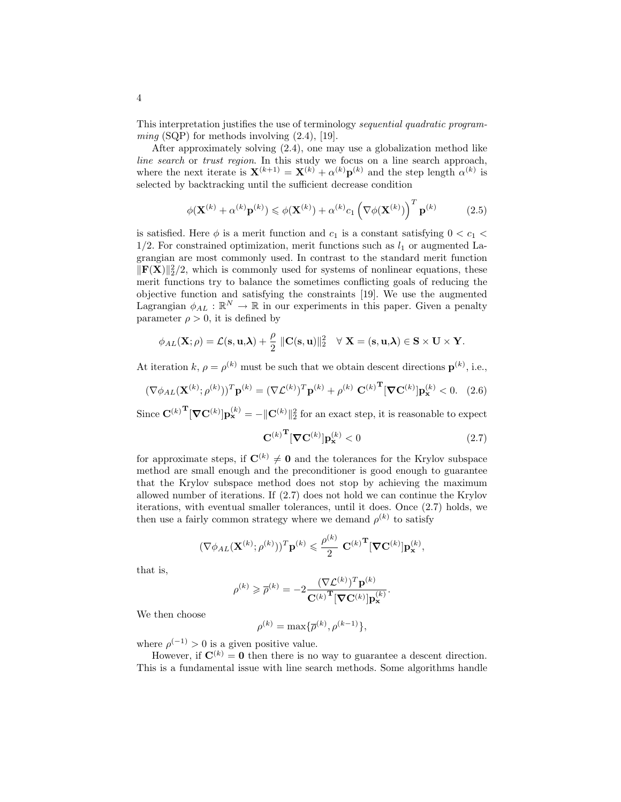This interpretation justifies the use of terminology sequential quadratic program $ming$  (SQP) for methods involving  $(2.4)$ , [19].

After approximately solving (2.4), one may use a globalization method like line search or trust region. In this study we focus on a line search approach, where the next iterate is  $\mathbf{X}^{(k+1)} = \mathbf{X}^{(k)} + \alpha^{(k)} \mathbf{p}^{(k)}$  and the step length  $\alpha^{(k)}$  is selected by backtracking until the sufficient decrease condition

$$
\phi(\mathbf{X}^{(k)} + \alpha^{(k)} \mathbf{p}^{(k)}) \leq \phi(\mathbf{X}^{(k)}) + \alpha^{(k)} c_1 \left(\nabla \phi(\mathbf{X}^{(k)})\right)^T \mathbf{p}^{(k)} \tag{2.5}
$$

is satisfied. Here  $\phi$  is a merit function and  $c_1$  is a constant satisfying  $0 < c_1 <$  $1/2$ . For constrained optimization, merit functions such as  $l_1$  or augmented Lagrangian are most commonly used. In contrast to the standard merit function  $\|\mathbf{F}(\mathbf{X})\|_2^2/2$ , which is commonly used for systems of nonlinear equations, these merit functions try to balance the sometimes conflicting goals of reducing the objective function and satisfying the constraints [19]. We use the augmented Lagrangian  $\phi_{AL} : \mathbb{R}^N \to \mathbb{R}$  in our experiments in this paper. Given a penalty parameter  $\rho > 0$ , it is defined by

$$
\phi_{AL}(\mathbf{X};\rho) = \mathcal{L}(\mathbf{s}, \mathbf{u}, \boldsymbol{\lambda}) + \frac{\rho}{2} \|\mathbf{C}(\mathbf{s}, \mathbf{u})\|_2^2 \quad \forall \mathbf{X} = (\mathbf{s}, \mathbf{u}, \boldsymbol{\lambda}) \in \mathbf{S} \times \mathbf{U} \times \mathbf{Y}.
$$

At iteration k,  $\rho = \rho^{(k)}$  must be such that we obtain descent directions  $\mathbf{p}^{(k)}$ , i.e.,

$$
(\nabla \phi_{AL}(\mathbf{X}^{(k)}; \rho^{(k)}))^T \mathbf{p}^{(k)} = (\nabla \mathcal{L}^{(k)})^T \mathbf{p}^{(k)} + \rho^{(k)} \mathbf{C}^{(k)}^T [\nabla \mathbf{C}^{(k)}] \mathbf{p}_{\mathbf{x}}^{(k)} < 0. \quad (2.6)
$$

Since  $\mathbf{C}^{(k)}^{\mathrm{T}}[\nabla \mathbf{C}^{(k)}]\mathbf{p}_{\mathbf{x}}^{(k)} = -\|\mathbf{C}^{(k)}\|_2^2$  for an exact step, it is reasonable to expect

$$
\mathbf{C}^{(k)}^{\mathbf{T}}[\nabla \mathbf{C}^{(k)}] \mathbf{p}_{\mathbf{x}}^{(k)} < 0 \tag{2.7}
$$

for approximate steps, if  $\mathbf{C}^{(k)} \neq \mathbf{0}$  and the tolerances for the Krylov subspace method are small enough and the preconditioner is good enough to guarantee that the Krylov subspace method does not stop by achieving the maximum allowed number of iterations. If (2.7) does not hold we can continue the Krylov iterations, with eventual smaller tolerances, until it does. Once (2.7) holds, we then use a fairly common strategy where we demand  $\rho^{(k)}$  to satisfy

$$
(\nabla \phi_{AL}(\mathbf{X}^{(k)};\rho^{(k)}))^T \mathbf{p}^{(k)} \leqslant \frac{\rho^{(k)}}{2} \mathbf{C}^{(k)}^{\mathbf{T}} [\nabla \mathbf{C}^{(k)}] \mathbf{p}_{\mathbf{x}}^{(k)},
$$

that is,

$$
\rho^{(k)} \geqslant \overline{\rho}^{(k)} = -2 \frac{(\nabla \mathcal{L}^{(k)})^T \mathbf{p}^{(k)}}{\mathbf{C}^{(k)}} \frac{\mathbf{p}^{(k)}}{\mathbf{C}^{(k)}} \mathbf{p}^{(k)}}.
$$

We then choose

$$
\rho^{(k)} = \max{\{\overline{\rho}^{(k)}, \rho^{(k-1)}\}},
$$

where  $\rho^{(-1)} > 0$  is a given positive value.

However, if  $\mathbf{C}^{(k)} = \mathbf{0}$  then there is no way to guarantee a descent direction. This is a fundamental issue with line search methods. Some algorithms handle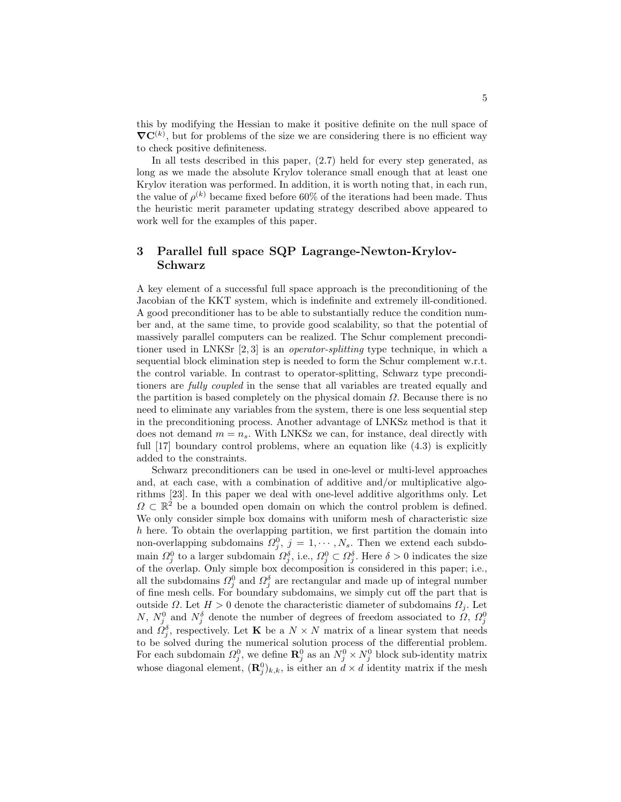this by modifying the Hessian to make it positive definite on the null space of  $\nabla C^{(k)}$ , but for problems of the size we are considering there is no efficient way to check positive definiteness.

In all tests described in this paper, (2.7) held for every step generated, as long as we made the absolute Krylov tolerance small enough that at least one Krylov iteration was performed. In addition, it is worth noting that, in each run, the value of  $\rho^{(k)}$  became fixed before 60% of the iterations had been made. Thus the heuristic merit parameter updating strategy described above appeared to work well for the examples of this paper.

# 3 Parallel full space SQP Lagrange-Newton-Krylov-Schwarz

A key element of a successful full space approach is the preconditioning of the Jacobian of the KKT system, which is indefinite and extremely ill-conditioned. A good preconditioner has to be able to substantially reduce the condition number and, at the same time, to provide good scalability, so that the potential of massively parallel computers can be realized. The Schur complement preconditioner used in LNKSr [2, 3] is an operator-splitting type technique, in which a sequential block elimination step is needed to form the Schur complement w.r.t. the control variable. In contrast to operator-splitting, Schwarz type preconditioners are fully coupled in the sense that all variables are treated equally and the partition is based completely on the physical domain  $\Omega$ . Because there is no need to eliminate any variables from the system, there is one less sequential step in the preconditioning process. Another advantage of LNKSz method is that it does not demand  $m = n_s$ . With LNKSz we can, for instance, deal directly with full [17] boundary control problems, where an equation like  $(4.3)$  is explicitly added to the constraints.

Schwarz preconditioners can be used in one-level or multi-level approaches and, at each case, with a combination of additive and/or multiplicative algorithms [23]. In this paper we deal with one-level additive algorithms only. Let  $\Omega \subset \mathbb{R}^2$  be a bounded open domain on which the control problem is defined. We only consider simple box domains with uniform mesh of characteristic size h here. To obtain the overlapping partition, we first partition the domain into non-overlapping subdomains  $\Omega_j^0$ ,  $j = 1, \cdots, N_s$ . Then we extend each subdomain  $\Omega_j^0$  to a larger subdomain  $\Omega_j^{\delta}$ , i.e.,  $\Omega_j^0 \subset \Omega_j^{\delta}$ . Here  $\delta > 0$  indicates the size of the overlap. Only simple box decomposition is considered in this paper; i.e., all the subdomains  $\Omega_j^0$  and  $\Omega_j^{\delta}$  are rectangular and made up of integral number of fine mesh cells. For boundary subdomains, we simply cut off the part that is outside Ω. Let  $H > 0$  denote the characteristic diameter of subdomains  $Ω<sub>j</sub>$ . Let N,  $N_j^0$  and  $N_j^{\delta}$  denote the number of degrees of freedom associated to  $\Omega$ ,  $\Omega_j^0$  and  $\Omega_j^{\delta}$ , respectively. Let **K** be a  $N \times N$  matrix of a linear system that needs to be solved during the numerical solution process of the differential problem. For each subdomain  $\Omega_j^0$ , we define  $\mathbf{R}_j^0$  as an  $N_j^0 \times N_j^0$  block sub-identity matrix whose diagonal element,  $(\mathbf{R}_j^0)_{k,k}$ , is either an  $d \times d$  identity matrix if the mesh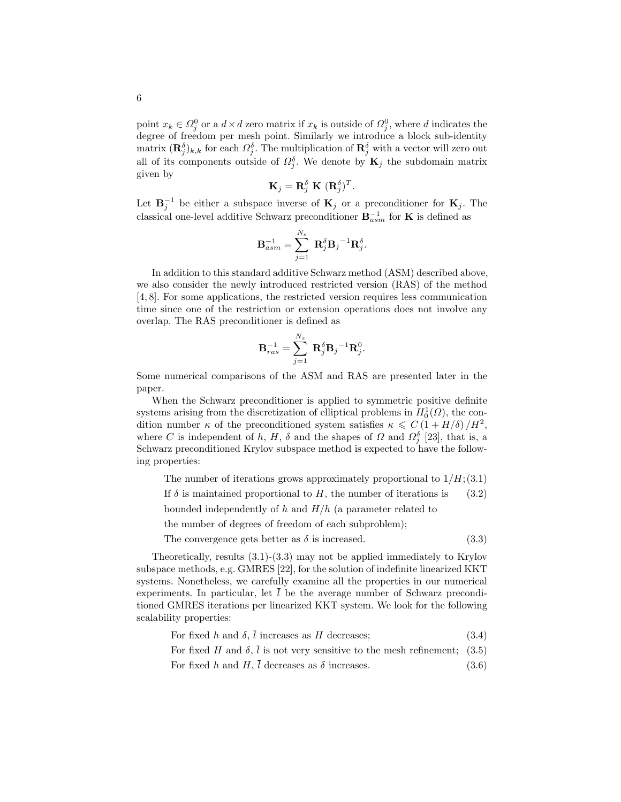point  $x_k \in \Omega_j^0$  or a  $d \times d$  zero matrix if  $x_k$  is outside of  $\Omega_j^0$ , where d indicates the degree of freedom per mesh point. Similarly we introduce a block sub-identity matrix  $(\mathbf{R}_{j}^{\delta})_{k,k}$  for each  $\Omega_{j}^{\delta}$ . The multiplication of  $\mathbf{R}_{j}^{\delta}$  with a vector will zero out all of its components outside of  $\Omega_j^{\delta}$ . We denote by  $\mathbf{K}_j$  the subdomain matrix given by

$$
\mathbf{K}_{j} = \mathbf{R}_{j}^{\delta} \mathbf{K} (\mathbf{R}_{j}^{\delta})^{T}.
$$

Let  $\mathbf{B}_j^{-1}$  be either a subspace inverse of  $\mathbf{K}_j$  or a preconditioner for  $\mathbf{K}_j$ . The classical one-level additive Schwarz preconditioner  **for <b>K** is defined as

$$
\mathbf{B}_{asm}^{-1}=\sum_{j=1}^{N_s}\ \mathbf{R}_j^{\delta}\mathbf{B}_j\mathbf{}^{-1}\mathbf{R}_j^{\delta}.
$$

In addition to this standard additive Schwarz method (ASM) described above, we also consider the newly introduced restricted version (RAS) of the method [4, 8]. For some applications, the restricted version requires less communication time since one of the restriction or extension operations does not involve any overlap. The RAS preconditioner is defined as

$$
\mathbf{B}_{ras}^{-1} = \sum_{j=1}^{N_s} \; \mathbf{R}_j^{\delta} \mathbf{B}_j{}^{-1} \mathbf{R}_j^0.
$$

Some numerical comparisons of the ASM and RAS are presented later in the paper.

When the Schwarz preconditioner is applied to symmetric positive definite systems arising from the discretization of elliptical problems in  $H_0^1(\Omega)$ , the condition number  $\kappa$  of the preconditioned system satisfies  $\kappa \leq C(1 + H/\delta)/H^2$ , where C is independent of h, H,  $\delta$  and the shapes of  $\Omega$  and  $\Omega_j^{\delta}$  [23], that is, a Schwarz preconditioned Krylov subspace method is expected to have the following properties:

The number of iterations grows approximately proportional to  $1/H$ ; (3.1)

If  $\delta$  is maintained proportional to H, the number of iterations is (3.2)

bounded independently of h and  $H/h$  (a parameter related to

the number of degrees of freedom of each subproblem);

The convergence gets better as  $\delta$  is increased. (3.3)

Theoretically, results (3.1)-(3.3) may not be applied immediately to Krylov subspace methods, e.g. GMRES [22], for the solution of indefinite linearized KKT systems. Nonetheless, we carefully examine all the properties in our numerical experiments. In particular, let  $l$  be the average number of Schwarz preconditioned GMRES iterations per linearized KKT system. We look for the following scalability properties:

For fixed 
$$
h
$$
 and  $\delta$ ,  $l$  increases as  $H$  decreases; (3.4)

For fixed H and  $\delta$ ,  $\overline{l}$  is not very sensitive to the mesh refinement; (3.5)

For fixed h and H,  $\overline{l}$  decreases as  $\delta$  increases. (3.6)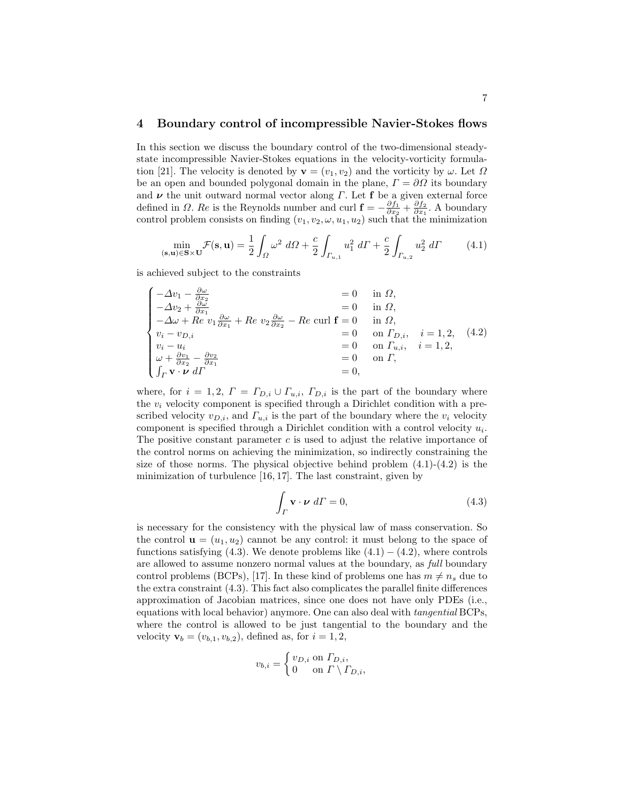#### 4 Boundary control of incompressible Navier-Stokes flows

In this section we discuss the boundary control of the two-dimensional steadystate incompressible Navier-Stokes equations in the velocity-vorticity formulation [21]. The velocity is denoted by  $\mathbf{v} = (v_1, v_2)$  and the vorticity by  $\omega$ . Let  $\Omega$ be an open and bounded polygonal domain in the plane,  $\Gamma = \partial\Omega$  its boundary and  $\nu$  the unit outward normal vector along  $\Gamma$ . Let **f** be a given external force defined in  $\Omega$ . Re is the Reynolds number and curl  $\mathbf{f} = -\frac{\partial f_1}{\partial x_2} + \frac{\partial f_2}{\partial x_1}$ . A boundary control problem consists on finding  $(v_1, v_2, \omega, u_1, u_2)$  such that the minimization

$$
\min_{(\mathbf{s}, \mathbf{u}) \in \mathbf{S} \times \mathbf{U}} \mathcal{F}(\mathbf{s}, \mathbf{u}) = \frac{1}{2} \int_{\Omega} \omega^2 \ d\Omega + \frac{c}{2} \int_{\Gamma_{u, 1}} u_1^2 \ d\Gamma + \frac{c}{2} \int_{\Gamma_{u, 2}} u_2^2 \ d\Gamma \tag{4.1}
$$

is achieved subject to the constraints

$$
\begin{cases}\n-\Delta v_1 - \frac{\partial \omega}{\partial x_2} & = 0 & \text{in } \Omega, \\
-\Delta v_2 + \frac{\partial \omega}{\partial x_1} & = 0 & \text{in } \Omega, \\
-\Delta \omega + Re \, v_1 \frac{\partial \omega}{\partial x_1} + Re \, v_2 \frac{\partial \omega}{\partial x_2} - Re \, \text{curl } \mathbf{f} = 0 & \text{in } \Omega, \\
v_i - v_{D,i} & = 0 & \text{on } \Gamma_{D,i}, \quad i = 1, 2, \\
v_i - u_i & = 0 & \text{on } \Gamma_{u,i}, \quad i = 1, 2, \\
\omega + \frac{\partial v_1}{\partial x_2} - \frac{\partial v_2}{\partial x_1} & = 0 & \text{on } \Gamma, \\
\int_{\Gamma} \mathbf{v} \cdot \mathbf{v} \, d\Gamma & = 0, & \end{cases}
$$
\n(4.2)

where, for  $i = 1, 2, T = \Gamma_{D,i} \cup \Gamma_{u,i}, \Gamma_{D,i}$  is the part of the boundary where the  $v_i$  velocity component is specified through a Dirichlet condition with a prescribed velocity  $v_{D,i}$ , and  $\Gamma_{u,i}$  is the part of the boundary where the  $v_i$  velocity component is specified through a Dirichlet condition with a control velocity  $u_i$ . The positive constant parameter  $c$  is used to adjust the relative importance of the control norms on achieving the minimization, so indirectly constraining the size of those norms. The physical objective behind problem  $(4.1)-(4.2)$  is the minimization of turbulence [16, 17]. The last constraint, given by

$$
\int_{\Gamma} \mathbf{v} \cdot \boldsymbol{\nu} \, d\Gamma = 0,\tag{4.3}
$$

is necessary for the consistency with the physical law of mass conservation. So the control  $\mathbf{u} = (u_1, u_2)$  cannot be any control: it must belong to the space of functions satisfying (4.3). We denote problems like  $(4.1) - (4.2)$ , where controls are allowed to assume nonzero normal values at the boundary, as full boundary control problems (BCPs), [17]. In these kind of problems one has  $m \neq n_s$  due to the extra constraint (4.3). This fact also complicates the parallel finite differences approximation of Jacobian matrices, since one does not have only PDEs (i.e., equations with local behavior) anymore. One can also deal with tangential BCPs, where the control is allowed to be just tangential to the boundary and the velocity  $\mathbf{v}_b = (v_{b,1}, v_{b,2}),$  defined as, for  $i = 1, 2,$ 

$$
v_{b,i} = \begin{cases} v_{D,i} \text{ on } \Gamma_{D,i}, \\ 0 \text{ on } \Gamma \setminus \Gamma_{D,i}, \end{cases}
$$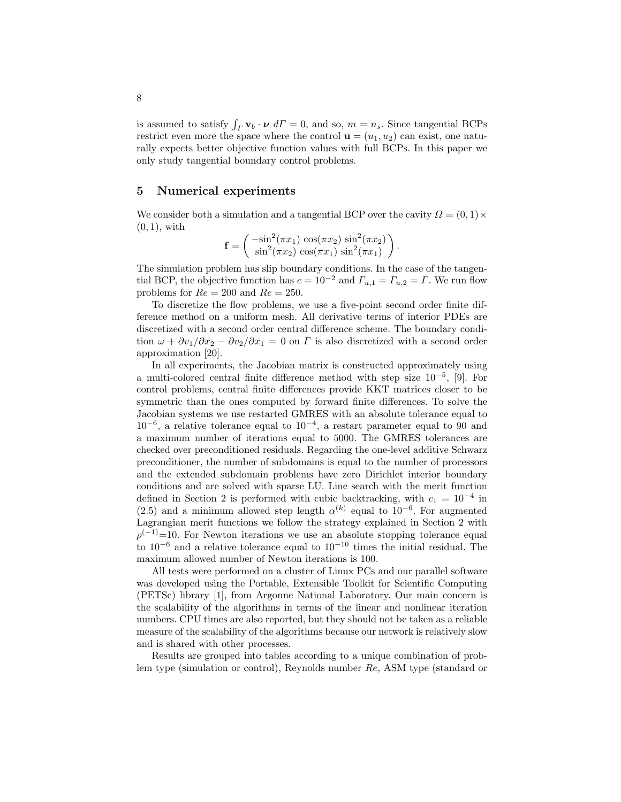is assumed to satisfy  $\int_{\Gamma} \mathbf{v}_b \cdot \boldsymbol{\nu} d\Gamma = 0$ , and so,  $m = n_s$ . Since tangential BCPs restrict even more the space where the control  $\mathbf{u} = (u_1, u_2)$  can exist, one naturally expects better objective function values with full BCPs. In this paper we only study tangential boundary control problems.

#### 5 Numerical experiments

We consider both a simulation and a tangential BCP over the cavity  $\Omega = (0,1) \times$  $(0, 1)$ , with

$$
\mathbf{f} = \begin{pmatrix} -\sin^2(\pi x_1) \cos(\pi x_2) \sin^2(\pi x_2) \\ \sin^2(\pi x_2) \cos(\pi x_1) \sin^2(\pi x_1) \end{pmatrix}
$$

.

The simulation problem has slip boundary conditions. In the case of the tangential BCP, the objective function has  $c = 10^{-2}$  and  $\Gamma_{u,1} = \Gamma_{u,2} = \Gamma$ . We run flow problems for  $Re = 200$  and  $Re = 250$ .

To discretize the flow problems, we use a five-point second order finite difference method on a uniform mesh. All derivative terms of interior PDEs are discretized with a second order central difference scheme. The boundary condition  $\omega + \partial v_1/\partial x_2 - \partial v_2/\partial x_1 = 0$  on  $\Gamma$  is also discretized with a second order approximation [20].

In all experiments, the Jacobian matrix is constructed approximately using a multi-colored central finite difference method with step size  $10^{-5}$ , [9]. For control problems, central finite differences provide KKT matrices closer to be symmetric than the ones computed by forward finite differences. To solve the Jacobian systems we use restarted GMRES with an absolute tolerance equal to  $10^{-6}$ , a relative tolerance equal to  $10^{-4}$ , a restart parameter equal to 90 and a maximum number of iterations equal to 5000. The GMRES tolerances are checked over preconditioned residuals. Regarding the one-level additive Schwarz preconditioner, the number of subdomains is equal to the number of processors and the extended subdomain problems have zero Dirichlet interior boundary conditions and are solved with sparse LU. Line search with the merit function defined in Section 2 is performed with cubic backtracking, with  $c_1 = 10^{-4}$  in (2.5) and a minimum allowed step length  $\alpha^{(k)}$  equal to 10<sup>-6</sup>. For augmented Lagrangian merit functions we follow the strategy explained in Section 2 with  $\rho^{(-1)}$ =10. For Newton iterations we use an absolute stopping tolerance equal to  $10^{-6}$  and a relative tolerance equal to  $10^{-10}$  times the initial residual. The maximum allowed number of Newton iterations is 100.

All tests were performed on a cluster of Linux PCs and our parallel software was developed using the Portable, Extensible Toolkit for Scientific Computing (PETSc) library [1], from Argonne National Laboratory. Our main concern is the scalability of the algorithms in terms of the linear and nonlinear iteration numbers. CPU times are also reported, but they should not be taken as a reliable measure of the scalability of the algorithms because our network is relatively slow and is shared with other processes.

Results are grouped into tables according to a unique combination of problem type (simulation or control), Reynolds number Re, ASM type (standard or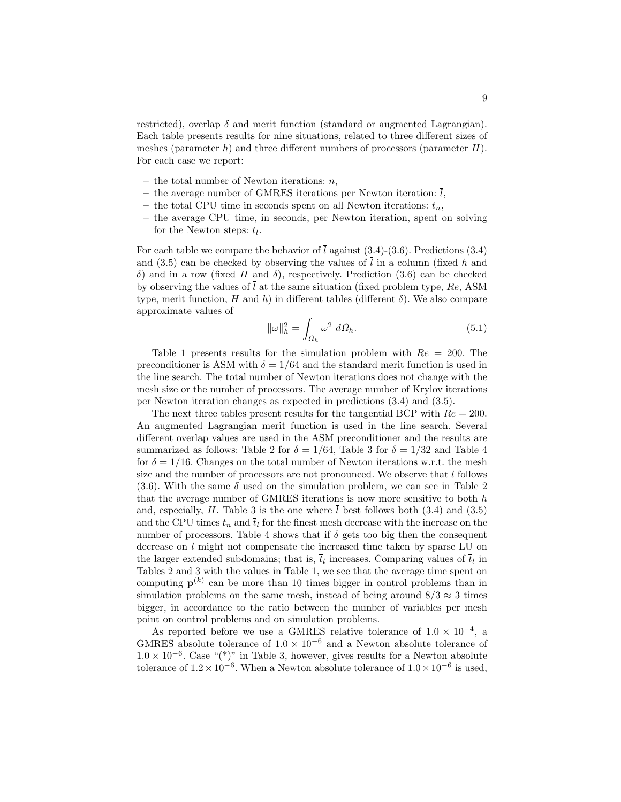restricted), overlap  $\delta$  and merit function (standard or augmented Lagrangian). Each table presents results for nine situations, related to three different sizes of meshes (parameter  $h$ ) and three different numbers of processors (parameter  $H$ ). For each case we report:

- the total number of Newton iterations:  $n$ ,
- the average number of GMRES iterations per Newton iteration:  $\overline{l}$ ,
- the total CPU time in seconds spent on all Newton iterations:  $t_n$ ,
- the average CPU time, in seconds, per Newton iteration, spent on solving for the Newton steps:  $\bar{t}_l$ .

For each table we compare the behavior of  $\overline{l}$  against (3.4)-(3.6). Predictions (3.4) and (3.5) can be checked by observing the values of  $\overline{l}$  in a column (fixed h and δ) and in a row (fixed H and δ), respectively. Prediction (3.6) can be checked by observing the values of  $\overline{l}$  at the same situation (fixed problem type, Re, ASM type, merit function, H and h) in different tables (different  $\delta$ ). We also compare approximate values of

$$
\|\omega\|_h^2 = \int_{\Omega_h} \omega^2 \ d\Omega_h. \tag{5.1}
$$

Table 1 presents results for the simulation problem with  $Re = 200$ . The preconditioner is ASM with  $\delta = 1/64$  and the standard merit function is used in the line search. The total number of Newton iterations does not change with the mesh size or the number of processors. The average number of Krylov iterations per Newton iteration changes as expected in predictions (3.4) and (3.5).

The next three tables present results for the tangential BCP with  $Re = 200$ . An augmented Lagrangian merit function is used in the line search. Several different overlap values are used in the ASM preconditioner and the results are summarized as follows: Table 2 for  $\delta = 1/64$ , Table 3 for  $\delta = 1/32$  and Table 4 for  $\delta = 1/16$ . Changes on the total number of Newton iterations w.r.t. the mesh size and the number of processors are not pronounced. We observe that  $l$  follows (3.6). With the same  $\delta$  used on the simulation problem, we can see in Table 2 that the average number of GMRES iterations is now more sensitive to both  $h$ and, especially,  $H$ . Table 3 is the one where l best follows both  $(3.4)$  and  $(3.5)$ and the CPU times  $t_n$  and  $\bar{t}_l$  for the finest mesh decrease with the increase on the number of processors. Table 4 shows that if  $\delta$  gets too big then the consequent decrease on  $\overline{l}$  might not compensate the increased time taken by sparse LU on the larger extended subdomains; that is,  $\bar{t}_l$  increases. Comparing values of  $\bar{t}_l$  in Tables 2 and 3 with the values in Table 1, we see that the average time spent on computing  $p^{(k)}$  can be more than 10 times bigger in control problems than in simulation problems on the same mesh, instead of being around  $8/3 \approx 3$  times bigger, in accordance to the ratio between the number of variables per mesh point on control problems and on simulation problems.

As reported before we use a GMRES relative tolerance of  $1.0 \times 10^{-4}$ , a GMRES absolute tolerance of  $1.0 \times 10^{-6}$  and a Newton absolute tolerance of  $1.0 \times 10^{-6}$ . Case "(\*)" in Table 3, however, gives results for a Newton absolute tolerance of  $1.2 \times 10^{-6}$ . When a Newton absolute tolerance of  $1.0 \times 10^{-6}$  is used,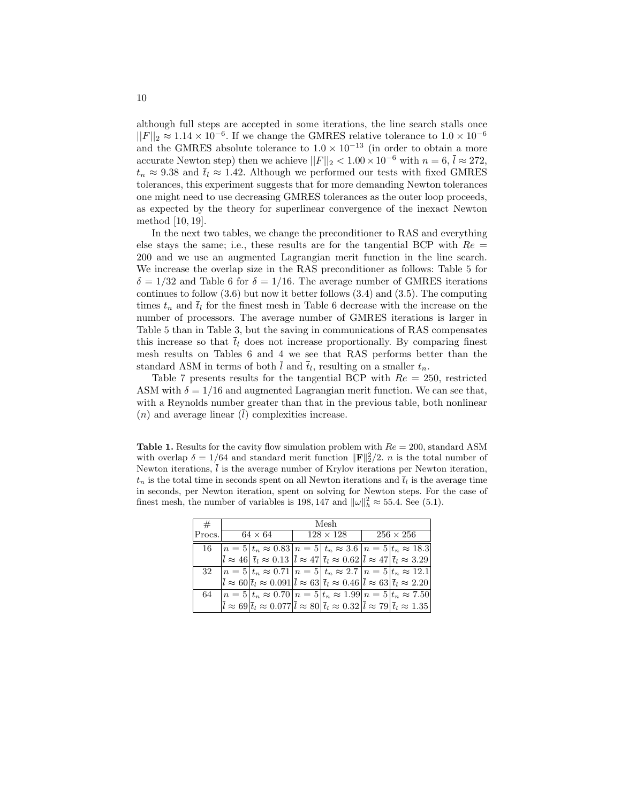although full steps are accepted in some iterations, the line search stalls once  $||F||_2 \approx 1.14 \times 10^{-6}$ . If we change the GMRES relative tolerance to  $1.0 \times 10^{-6}$ and the GMRES absolute tolerance to  $1.0 \times 10^{-13}$  (in order to obtain a more accurate Newton step) then we achieve  $||F||_2 < 1.00 \times 10^{-6}$  with  $n = 6$ ,  $\bar{l} \approx 272$ ,  $t_n \approx 9.38$  and  $\bar{t}_l \approx 1.42$ . Although we performed our tests with fixed GMRES tolerances, this experiment suggests that for more demanding Newton tolerances one might need to use decreasing GMRES tolerances as the outer loop proceeds, as expected by the theory for superlinear convergence of the inexact Newton method [10, 19].

In the next two tables, we change the preconditioner to RAS and everything else stays the same; i.e., these results are for the tangential BCP with  $Re =$ 200 and we use an augmented Lagrangian merit function in the line search. We increase the overlap size in the RAS preconditioner as follows: Table 5 for  $\delta = 1/32$  and Table 6 for  $\delta = 1/16$ . The average number of GMRES iterations continues to follow  $(3.6)$  but now it better follows  $(3.4)$  and  $(3.5)$ . The computing times  $t_n$  and  $\overline{t}_l$  for the finest mesh in Table 6 decrease with the increase on the number of processors. The average number of GMRES iterations is larger in Table 5 than in Table 3, but the saving in communications of RAS compensates this increase so that  $\bar{t}_l$  does not increase proportionally. By comparing finest mesh results on Tables 6 and 4 we see that RAS performs better than the standard ASM in terms of both l and  $\overline{t}_l$ , resulting on a smaller  $t_n$ .

Table 7 presents results for the tangential BCP with  $Re = 250$ , restricted ASM with  $\delta = 1/16$  and augmented Lagrangian merit function. We can see that, with a Reynolds number greater than that in the previous table, both nonlinear  $(n)$  and average linear  $(\bar{l})$  complexities increase.

**Table 1.** Results for the cavity flow simulation problem with  $Re = 200$ , standard ASM with overlap  $\delta = 1/64$  and standard merit function  $\|\mathbf{F}\|_2^2/2$ . *n* is the total number of Newton iterations,  $\overline{l}$  is the average number of Krylov iterations per Newton iteration,  $t_n$  is the total time in seconds spent on all Newton iterations and  $\bar{t}_l$  is the average time in seconds, per Newton iteration, spent on solving for Newton steps. For the case of finest mesh, the number of variables is 198, 147 and  $\|\omega\|_h^2 \approx 55.4$ . See (5.1).

| #      | Mesh           |                                                                                                                                                                                                    |  |                  |                  |  |  |  |  |
|--------|----------------|----------------------------------------------------------------------------------------------------------------------------------------------------------------------------------------------------|--|------------------|------------------|--|--|--|--|
| Procs. | $64 \times 64$ |                                                                                                                                                                                                    |  | $128 \times 128$ | $256 \times 256$ |  |  |  |  |
| 16     |                | $n = 5   t_n \approx 0.83   n = 5   t_n \approx 3.6   n = 5   t_n \approx 18.3  $                                                                                                                  |  |                  |                  |  |  |  |  |
|        |                | $\overline{l} \approx 46 \vert \overline{t}_l \approx 0.13 \vert \overline{l} \approx 47 \vert \overline{t}_l \approx 0.62 \vert \overline{l} \approx 47 \vert \overline{t}_l \approx 3.29$        |  |                  |                  |  |  |  |  |
|        |                | 32 $ n=5 t_n \approx 0.71 n=5 t_n \approx 2.7 n=5 t_n \approx 12.1 $                                                                                                                               |  |                  |                  |  |  |  |  |
|        |                | $\overline{l} \approx 60 \vert \overline{t}_l \approx 0.091 \vert \overline{l} \approx 63 \vert \overline{t}_l \approx 0.46 \vert \overline{l} \approx 63 \vert \overline{t}_l \approx 2.20 \vert$ |  |                  |                  |  |  |  |  |
| 64     |                | $n = 5   t_n \approx 0.70   n = 5   t_n \approx 1.99   n = 5   t_n \approx 7.50  $                                                                                                                 |  |                  |                  |  |  |  |  |
|        |                | $\bar{l} \approx 69 \vert \bar{t}_l \approx 0.077 \vert \bar{l} \approx 80 \vert \bar{t}_l \approx 0.32 \vert \bar{l} \approx 79 \vert \bar{t}_l \approx 1.35 \vert$                               |  |                  |                  |  |  |  |  |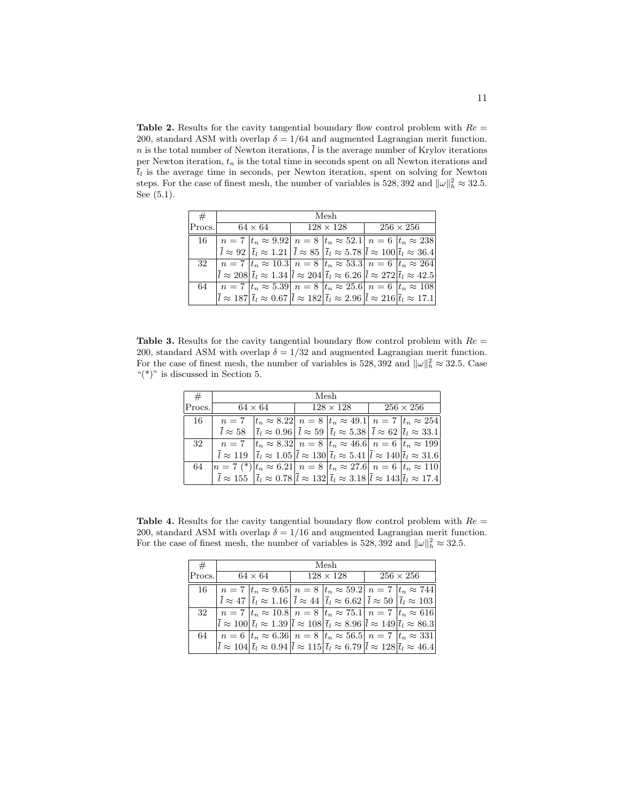**Table 2.** Results for the cavity tangential boundary flow control problem with  $Re =$ 200, standard ASM with overlap  $\delta = 1/64$  and augmented Lagrangian merit function.  $n$  is the total number of Newton iterations,  $\overline{l}$  is the average number of Krylov iterations per Newton iteration,  $t_n$  is the total time in seconds spent on all Newton iterations and  $\overline{t}_l$  is the average time in seconds, per Newton iteration, spent on solving for Newton steps. For the case of finest mesh, the number of variables is 528, 392 and  $\|\omega\|_h^2 \approx 32.5$ . See (5.1).

| #      | Mesh |                                                                                                                                                                                                             |                  |  |  |                  |  |  |  |
|--------|------|-------------------------------------------------------------------------------------------------------------------------------------------------------------------------------------------------------------|------------------|--|--|------------------|--|--|--|
| Procs. |      | $64 \times 64$                                                                                                                                                                                              | $128 \times 128$ |  |  | $256 \times 256$ |  |  |  |
| 16     |      | $n = 7  t_n \approx 9.92   n = 8  t_n \approx 52.1   n = 6  t_n \approx 238$                                                                                                                                |                  |  |  |                  |  |  |  |
|        |      | $\overline{l} \approx 92 \left  \overline{t}_l \approx 1.21 \right  \overline{l} \approx 85 \left  \overline{t}_l \approx 5.78 \right  \overline{l} \approx 100 \left  \overline{t}_l \approx 36.4 \right $ |                  |  |  |                  |  |  |  |
|        |      | 32   $n = 7$ $ t_n \approx 10.3 $ $n = 8$ $ t_n \approx 53.3 $ $n = 6$ $ t_n \approx 264 $                                                                                                                  |                  |  |  |                  |  |  |  |
|        |      | $\bar{l} \approx 208 \vert \bar{t}_l \approx 1.34 \vert \bar{l} \approx 204 \vert \bar{t}_l \approx 6.26 \vert \bar{l} \approx 272 \vert \bar{t}_l \approx 42.5$                                            |                  |  |  |                  |  |  |  |
| 64     |      | $n = 7$ $ t_n \approx 5.39 $ $n = 8$ $ t_n \approx 25.6 $ $n = 6$ $ t_n \approx 108 $                                                                                                                       |                  |  |  |                  |  |  |  |
|        |      | $\bar{l} \approx 187  \bar{t}_l \approx 0.67  \bar{l} \approx 182  \bar{t}_l \approx 2.96  \bar{l} \approx 216  \bar{t}_l \approx 17.1 $                                                                    |                  |  |  |                  |  |  |  |

**Table 3.** Results for the cavity tangential boundary flow control problem with  $Re =$ 200, standard ASM with overlap  $\delta = 1/32$  and augmented Lagrangian merit function. For the case of finest mesh, the number of variables is 528, 392 and  $\|\omega\|_h^2 \approx 32.5$ . Case "(\*)" is discussed in Section 5.

| #      | Mesh                                                                           |                                                                                                                                                                                                       |  |                  |                  |  |  |  |  |
|--------|--------------------------------------------------------------------------------|-------------------------------------------------------------------------------------------------------------------------------------------------------------------------------------------------------|--|------------------|------------------|--|--|--|--|
| Procs. |                                                                                | $64 \times 64$                                                                                                                                                                                        |  | $128 \times 128$ | $256 \times 256$ |  |  |  |  |
| 16     | $n=7$                                                                          | $ t_n \approx 8.22 $ $n = 8 t_n \approx 49.1 $ $n = 7 t_n \approx 254$                                                                                                                                |  |                  |                  |  |  |  |  |
|        |                                                                                | $\overline{l} \approx 58$ $ \overline{t}_l \approx 0.96   \overline{l} \approx 59  \overline{t}_l \approx 5.38   \overline{l} \approx 62  \overline{t}_l \approx 33.1$                                |  |                  |                  |  |  |  |  |
| 32     |                                                                                | $n = 7$ $ t_n \approx 8.32 $ $n = 8$ $ t_n \approx 46.6 $ $n = 6$ $ t_n \approx 199$                                                                                                                  |  |                  |                  |  |  |  |  |
|        |                                                                                | $\overline{l} \approx 119 \left  \overline{t}_l \approx 1.05 \left  \overline{l} \approx 130 \right  \overline{t}_l \approx 5.41 \left  \overline{l} \approx 140 \right  \overline{t}_l \approx 31.6$ |  |                  |                  |  |  |  |  |
| 64     | $n = 7 (*)  t_n \approx 6.21  n = 8  t_n \approx 27.6  n = 6  t_n \approx 110$ |                                                                                                                                                                                                       |  |                  |                  |  |  |  |  |
|        |                                                                                | $\overline{l} \approx 155$ $ \overline{t}_l \approx 0.78  \overline{l} \approx 132  \overline{t}_l \approx 3.18  \overline{l} \approx 143  \overline{t}_l \approx 17.4$                               |  |                  |                  |  |  |  |  |

**Table 4.** Results for the cavity tangential boundary flow control problem with  $Re =$ 200, standard ASM with overlap  $\delta = 1/16$  and augmented Lagrangian merit function. For the case of finest mesh, the number of variables is 528, 392 and  $\|\omega\|_h^2 \approx 32.5$ .

| #      | Mesh |                |  |                                                                                                                                                                                                                                                                                                                                                                                                                    |  |                  |  |  |  |
|--------|------|----------------|--|--------------------------------------------------------------------------------------------------------------------------------------------------------------------------------------------------------------------------------------------------------------------------------------------------------------------------------------------------------------------------------------------------------------------|--|------------------|--|--|--|
| Procs. |      | $64 \times 64$ |  | $128 \times 128$                                                                                                                                                                                                                                                                                                                                                                                                   |  | $256 \times 256$ |  |  |  |
| 16     |      |                |  | $n = 7  t_n \approx 9.65 $ $n = 8  t_n \approx 59.2 $ $n = 7  t_n \approx 744 $                                                                                                                                                                                                                                                                                                                                    |  |                  |  |  |  |
|        |      |                |  | $\overline{l} \approx 47 \left  \overline{t}_l \approx 1.16 \right  \overline{l} \approx 44 \left  \overline{t}_l \approx 6.62 \right  \overline{l} \approx 50 \left  \overline{t}_l \approx 103 \right $                                                                                                                                                                                                          |  |                  |  |  |  |
|        |      |                |  | 32   $n = 7$ $ t_n \approx 10.8 $ $n = 8$ $ t_n \approx 75.1 $ $n = 7$ $ t_n \approx 616$                                                                                                                                                                                                                                                                                                                          |  |                  |  |  |  |
|        |      |                |  | $ \bar{l} \approx 100 \,   \bar{t}_l \approx 1.39 \,   \bar{l} \approx 108 \,   \bar{t}_l \approx 8.96 \,   \bar{l} \approx 149 \,   \bar{t}_l \approx 86.3 \,   \bar{l} \approx 100 \,   \bar{t}_l \approx 100 \,   \bar{t}_l \approx 100 \,   \bar{t}_l \approx 100 \,   \bar{t}_l \approx 100 \,   \bar{t}_l \approx 100 \,   \bar{t}_l \approx 100 \,   \bar{t}_l \approx 100 \,   \bar{t}_l \approx 100 \,  $ |  |                  |  |  |  |
| 64     |      |                |  | $n = 6$ $ t_n \approx 6.36 $ $n = 8$ $ t_n \approx 56.5 $ $n = 7$ $ t_n \approx 331 $                                                                                                                                                                                                                                                                                                                              |  |                  |  |  |  |
|        |      |                |  | $ \bar{l} \approx 104  \bar{t}_l \approx 0.94  \bar{l} \approx 115  \bar{t}_l \approx 6.79  \bar{l} \approx 128  \bar{t}_l \approx 46.4$                                                                                                                                                                                                                                                                           |  |                  |  |  |  |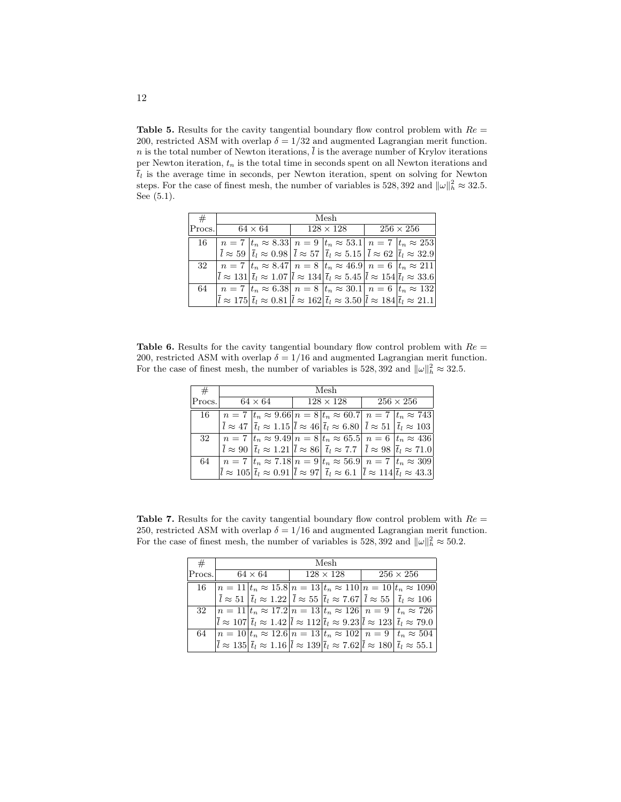Table 5. Results for the cavity tangential boundary flow control problem with  $Re =$ 200, restricted ASM with overlap  $\delta = 1/32$  and augmented Lagrangian merit function. n is the total number of Newton iterations,  $\overline{l}$  is the average number of Krylov iterations per Newton iteration,  $t_n$  is the total time in seconds spent on all Newton iterations and  $\overline{t}_l$  is the average time in seconds, per Newton iteration, spent on solving for Newton steps. For the case of finest mesh, the number of variables is 528, 392 and  $\|\omega\|_h^2 \approx 32.5$ . See (5.1).

| #      | Mesh           |                                                                                                                                                                                                            |                  |  |  |                  |  |  |  |
|--------|----------------|------------------------------------------------------------------------------------------------------------------------------------------------------------------------------------------------------------|------------------|--|--|------------------|--|--|--|
| Procs. | $64 \times 64$ |                                                                                                                                                                                                            | $128 \times 128$ |  |  | $256 \times 256$ |  |  |  |
| 16     |                | $n = 7  t_n \approx 8.33 $ $n = 9  t_n \approx 53.1 $ $n = 7  t_n \approx 253 $                                                                                                                            |                  |  |  |                  |  |  |  |
|        |                | $\overline{l} \approx 59 \left  \overline{t}_l \approx 0.98 \right  \overline{l} \approx 57 \left  \overline{t}_l \approx 5.15 \right  \overline{l} \approx 62 \left  \overline{t}_l \approx 32.9 \right $ |                  |  |  |                  |  |  |  |
|        |                | 32   $n = 7$ $ t_n \approx 8.47 $ $n = 8$ $ t_n \approx 46.9 $ $n = 6$ $ t_n \approx 211 $                                                                                                                 |                  |  |  |                  |  |  |  |
|        |                | $ \bar{l} \approx 131  \bar{t}_l \approx 1.07  \bar{l} \approx 134  \bar{t}_l \approx 5.45  \bar{l} \approx 154  \bar{t}_l \approx 33.6$                                                                   |                  |  |  |                  |  |  |  |
| 64     |                | $n = 7$ $ t_n \approx 6.38 $ $n = 8$ $ t_n \approx 30.1 $ $n = 6$ $ t_n \approx 132 $                                                                                                                      |                  |  |  |                  |  |  |  |
|        |                | $\overline{l} \approx 175 \vert \overline{t}_l \approx 0.81 \vert \overline{l} \approx 162 \vert \overline{t}_l \approx 3.50 \vert \overline{l} \approx 184 \vert \overline{t}_l \approx 21.1 \vert$       |                  |  |  |                  |  |  |  |

**Table 6.** Results for the cavity tangential boundary flow control problem with  $Re =$ 200, restricted ASM with overlap  $\delta = 1/16$  and augmented Lagrangian merit function. For the case of finest mesh, the number of variables is 528, 392 and  $\|\omega\|_h^2 \approx 32.5$ .

| #      | Mesh |                |  |                                                                                                                                                                                                                  |                  |  |  |  |  |
|--------|------|----------------|--|------------------------------------------------------------------------------------------------------------------------------------------------------------------------------------------------------------------|------------------|--|--|--|--|
| Procs. |      | $64 \times 64$ |  | $128\times128$                                                                                                                                                                                                   | $256 \times 256$ |  |  |  |  |
| 16.    |      |                |  | $n = 7$ $ t_n \approx 9.66 n = 8 t_n \approx 60.7 n = 7 t_n \approx 743$                                                                                                                                         |                  |  |  |  |  |
|        |      |                |  | $\overline{l} \approx 47 \left  \overline{t}_l \approx 1.15 \left  \overline{l} \approx 46 \right  \overline{t}_l \approx 6.80 \left  \overline{l} \approx 51 \left  \overline{t}_l \approx 103 \right  \right.$ |                  |  |  |  |  |
|        |      |                |  | 32   $n = 7$   $t_n \approx 9.49$   $n = 8$   $t_n \approx 65.5$   $n = 6$   $t_n \approx 436$                                                                                                                   |                  |  |  |  |  |
|        |      |                |  | $\overline{l} \approx 90 \left  \overline{t}_l \approx 1.21 \left  \overline{l} \approx 86 \right  \overline{t}_l \approx 7.7 \left  \overline{l} \approx 98 \left  \overline{t}_l \approx 71.0 \right  \right.$ |                  |  |  |  |  |
| 64     |      |                |  | $n = 7  t_n \approx 7.18   n = 9  t_n \approx 56.9   n = 7  t_n \approx 309$                                                                                                                                     |                  |  |  |  |  |
|        |      |                |  | $ \bar{l} \approx 105  \bar{t}_l \approx 0.91  \bar{l} \approx 97  \bar{t}_l \approx 6.1  \bar{l} \approx 114  \bar{t}_l \approx 43.3$                                                                           |                  |  |  |  |  |
|        |      |                |  |                                                                                                                                                                                                                  |                  |  |  |  |  |

Table 7. Results for the cavity tangential boundary flow control problem with  $Re =$ 250, restricted ASM with overlap  $\delta = 1/16$  and augmented Lagrangian merit function. For the case of finest mesh, the number of variables is 528, 392 and  $\|\omega\|_h^2 \approx 50.2$ .

| #      | Mesh           |  |  |                  |  |                                                                                                                                                                                                           |  |  |  |
|--------|----------------|--|--|------------------|--|-----------------------------------------------------------------------------------------------------------------------------------------------------------------------------------------------------------|--|--|--|
| Procs. | $64 \times 64$ |  |  | $128 \times 128$ |  | $256 \times 256$                                                                                                                                                                                          |  |  |  |
| 16     |                |  |  |                  |  | $n = 11  t_n \approx 15.8   n = 13  t_n \approx 110   n = 10  t_n \approx 1090$                                                                                                                           |  |  |  |
|        |                |  |  |                  |  | $\overline{l} \approx 51 \left  \overline{t}_l \approx 1.22 \right  \overline{l} \approx 55 \left  \overline{t}_l \approx 7.67 \right  \overline{l} \approx 55 \left  \overline{t}_l \approx 106 \right $ |  |  |  |
|        |                |  |  |                  |  | 32 $ n=11 t_n \approx 17.2 n=13 t_n \approx 126 n=9 t_n \approx 726$                                                                                                                                      |  |  |  |
|        |                |  |  |                  |  | $\overline{l} \approx 107 \vert \overline{t}_l \approx 1.42 \vert \overline{l} \approx 112 \vert \overline{t}_l \approx 9.23 \vert \overline{l} \approx 123 \vert \overline{t}_l \approx 79.0$            |  |  |  |
| 64     |                |  |  |                  |  | $n = 10$ $t_n \approx 12.6$ $n = 13$ $t_n \approx 102$ $n = 9$ $t_n \approx 504$                                                                                                                          |  |  |  |
|        |                |  |  |                  |  | $\overline{l} \approx 135  \overline{t}_l \approx 1.16  \overline{l} \approx 139  \overline{t}_l \approx 7.62  \overline{l} \approx 180  \overline{t}_l \approx 55.1$                                     |  |  |  |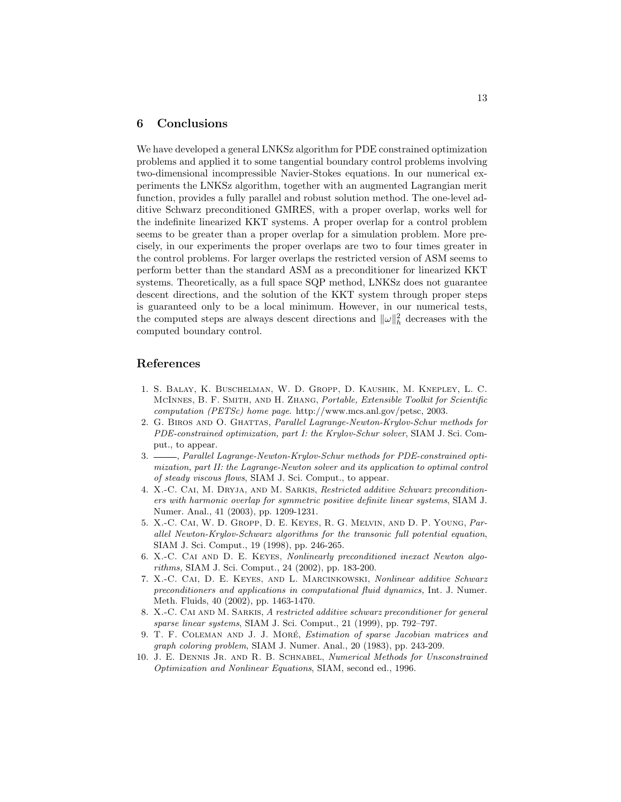## 6 Conclusions

We have developed a general LNKSz algorithm for PDE constrained optimization problems and applied it to some tangential boundary control problems involving two-dimensional incompressible Navier-Stokes equations. In our numerical experiments the LNKSz algorithm, together with an augmented Lagrangian merit function, provides a fully parallel and robust solution method. The one-level additive Schwarz preconditioned GMRES, with a proper overlap, works well for the indefinite linearized KKT systems. A proper overlap for a control problem seems to be greater than a proper overlap for a simulation problem. More precisely, in our experiments the proper overlaps are two to four times greater in the control problems. For larger overlaps the restricted version of ASM seems to perform better than the standard ASM as a preconditioner for linearized KKT systems. Theoretically, as a full space SQP method, LNKSz does not guarantee descent directions, and the solution of the KKT system through proper steps is guaranteed only to be a local minimum. However, in our numerical tests, the computed steps are always descent directions and  $\|\omega\|_h^2$  decreases with the computed boundary control.

# References

- 1. S. Balay, K. Buschelman, W. D. Gropp, D. Kaushik, M. Knepley, L. C. McInnes, B. F. Smith, and H. Zhang, Portable, Extensible Toolkit for Scientific computation (PETSc) home page. http://www.mcs.anl.gov/petsc, 2003.
- 2. G. Biros and O. Ghattas, Parallel Lagrange-Newton-Krylov-Schur methods for PDE-constrained optimization, part I: the Krylov-Schur solver, SIAM J. Sci. Comput., to appear.
- 3.  $\frac{1}{2}$ , Parallel Lagrange-Newton-Krylov-Schur methods for PDE-constrained optimization, part II: the Lagrange-Newton solver and its application to optimal control of steady viscous flows, SIAM J. Sci. Comput., to appear.
- 4. X.-C. Cai, M. Dryja, and M. Sarkis, Restricted additive Schwarz preconditioners with harmonic overlap for symmetric positive definite linear systems, SIAM J. Numer. Anal., 41 (2003), pp. 1209-1231.
- 5. X.-C. Cai, W. D. Gropp, D. E. Keyes, R. G. Melvin, and D. P. Young, Parallel Newton-Krylov-Schwarz algorithms for the transonic full potential equation, SIAM J. Sci. Comput., 19 (1998), pp. 246-265.
- 6. X.-C. Cai and D. E. Keyes, Nonlinearly preconditioned inexact Newton algorithms, SIAM J. Sci. Comput., 24 (2002), pp. 183-200.
- 7. X.-C. Cai, D. E. Keyes, and L. Marcinkowski, Nonlinear additive Schwarz preconditioners and applications in computational fluid dynamics, Int. J. Numer. Meth. Fluids, 40 (2002), pp. 1463-1470.
- 8. X.-C. Cai and M. Sarkis, A restricted additive schwarz preconditioner for general sparse linear systems, SIAM J. Sci. Comput., 21 (1999), pp. 792–797.
- 9. T. F. COLEMAN AND J. J. MORÉ, Estimation of sparse Jacobian matrices and graph coloring problem, SIAM J. Numer. Anal., 20 (1983), pp. 243-209.
- 10. J. E. Dennis Jr. and R. B. Schnabel, Numerical Methods for Unsconstrained Optimization and Nonlinear Equations, SIAM, second ed., 1996.